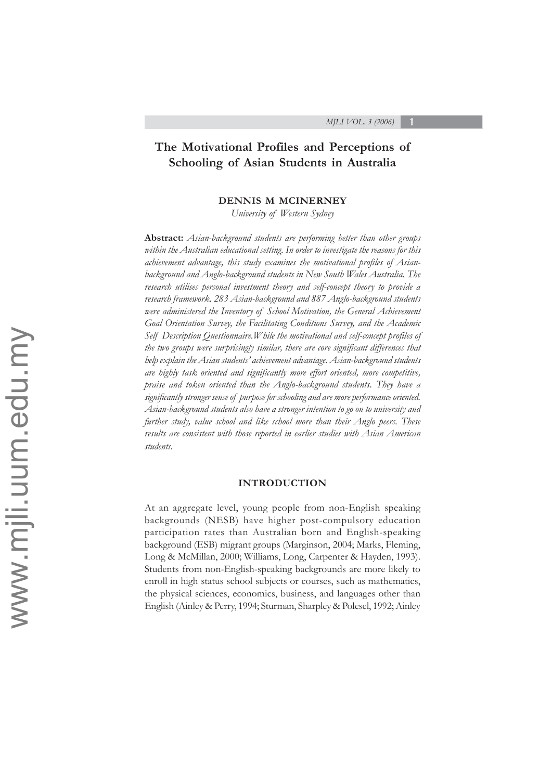# **The Motivational Profiles and Perceptions of Schooling of Asian Students in Australia**

#### **DENNIS M MCINERNEY**

*University of Western Sydney*

**Abstract:** *Asian-background students are performing better than other groups within the Australian educational setting. In order to investigate the reasons for this achievement advantage, this study examines the motivational profiles of Asianbackground and Anglo-background students in New South Wales Australia. The research utilises personal investment theory and self-concept theory to provide a research framework. 283 Asian-background and 887 Anglo-background students were administered the Inventory of School Motivation, the General Achievement Goal Orientation Survey, the Facilitating Conditions Survey, and the Academic Self Description Questionnaire.While the motivational and self-concept profiles of the two groups were surprisingly similar, there are core significant differences that help explain the Asian students' achievement advantage. Asian-background students are highly task oriented and significantly more effort oriented, more competitive, praise and token oriented than the Anglo-background students. They have a significantly stronger sense of purpose for schooling and are more performance oriented. Asian-background students also have a stronger intention to go on to university and further study, value school and like school more than their Anglo peers. These results are consistent with those reported in earlier studies with Asian American students.*

#### **INTRODUCTION**

At an aggregate level, young people from non-English speaking backgrounds (NESB) have higher post-compulsory education participation rates than Australian born and English-speaking background (ESB) migrant groups (Marginson, 2004; Marks, Fleming, Long & McMillan, 2000; Williams, Long, Carpenter & Hayden, 1993). Students from non-English-speaking backgrounds are more likely to enroll in high status school subjects or courses, such as mathematics, the physical sciences, economics, business, and languages other than English (Ainley & Perry, 1994; Sturman, Sharpley & Polesel, 1992; Ainley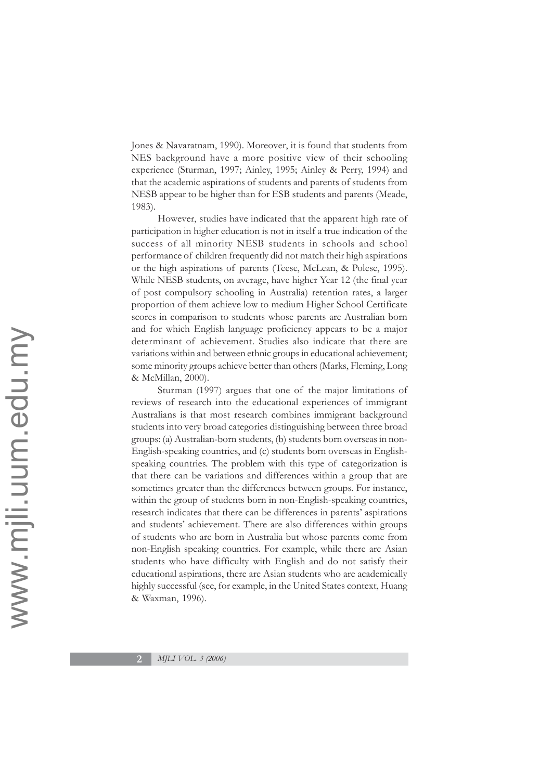Jones & Navaratnam, 1990). Moreover, it is found that students from NES background have a more positive view of their schooling experience (Sturman, 1997; Ainley, 1995; Ainley & Perry, 1994) and that the academic aspirations of students and parents of students from NESB appear to be higher than for ESB students and parents (Meade, 1983).

However, studies have indicated that the apparent high rate of participation in higher education is not in itself a true indication of the success of all minority NESB students in schools and school performance of children frequently did not match their high aspirations or the high aspirations of parents (Teese, McLean, & Polese, 1995). While NESB students, on average, have higher Year 12 (the final year of post compulsory schooling in Australia) retention rates, a larger proportion of them achieve low to medium Higher School Certificate scores in comparison to students whose parents are Australian born and for which English language proficiency appears to be a major determinant of achievement. Studies also indicate that there are variations within and between ethnic groups in educational achievement; some minority groups achieve better than others (Marks, Fleming, Long & McMillan, 2000).

Sturman (1997) argues that one of the major limitations of reviews of research into the educational experiences of immigrant Australians is that most research combines immigrant background students into very broad categories distinguishing between three broad groups: (a) Australian-born students, (b) students born overseas in non-English-speaking countries, and (c) students born overseas in Englishspeaking countries. The problem with this type of categorization is that there can be variations and differences within a group that are sometimes greater than the differences between groups. For instance, within the group of students born in non-English-speaking countries, research indicates that there can be differences in parents' aspirations and students' achievement. There are also differences within groups of students who are born in Australia but whose parents come from non-English speaking countries. For example, while there are Asian students who have difficulty with English and do not satisfy their educational aspirations, there are Asian students who are academically highly successful (see, for example, in the United States context, Huang & Waxman, 1996).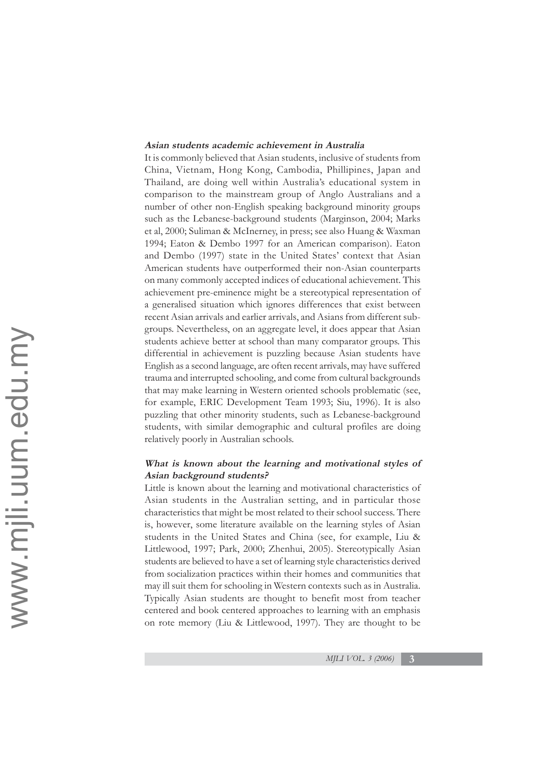#### **Asian students academic achievement in Australia**

It is commonly believed that Asian students, inclusive of students from China, Vietnam, Hong Kong, Cambodia, Phillipines, Japan and Thailand, are doing well within Australia's educational system in comparison to the mainstream group of Anglo Australians and a number of other non-English speaking background minority groups such as the Lebanese-background students (Marginson, 2004; Marks et al, 2000; Suliman & McInerney, in press; see also Huang & Waxman 1994; Eaton & Dembo 1997 for an American comparison). Eaton and Dembo (1997) state in the United States' context that Asian American students have outperformed their non-Asian counterparts on many commonly accepted indices of educational achievement. This achievement pre-eminence might be a stereotypical representation of a generalised situation which ignores differences that exist between recent Asian arrivals and earlier arrivals, and Asians from different subgroups. Nevertheless, on an aggregate level, it does appear that Asian students achieve better at school than many comparator groups. This differential in achievement is puzzling because Asian students have English as a second language, are often recent arrivals, may have suffered trauma and interrupted schooling, and come from cultural backgrounds that may make learning in Western oriented schools problematic (see, for example, ERIC Development Team 1993; Siu, 1996). It is also puzzling that other minority students, such as Lebanese-background students, with similar demographic and cultural profiles are doing relatively poorly in Australian schools.

# **What is known about the learning and motivational styles of Asian background students?**

Little is known about the learning and motivational characteristics of Asian students in the Australian setting, and in particular those characteristics that might be most related to their school success. There is, however, some literature available on the learning styles of Asian students in the United States and China (see, for example, Liu & Littlewood, 1997; Park, 2000; Zhenhui, 2005). Stereotypically Asian students are believed to have a set of learning style characteristics derived from socialization practices within their homes and communities that may ill suit them for schooling in Western contexts such as in Australia. Typically Asian students are thought to benefit most from teacher centered and book centered approaches to learning with an emphasis on rote memory (Liu & Littlewood, 1997). They are thought to be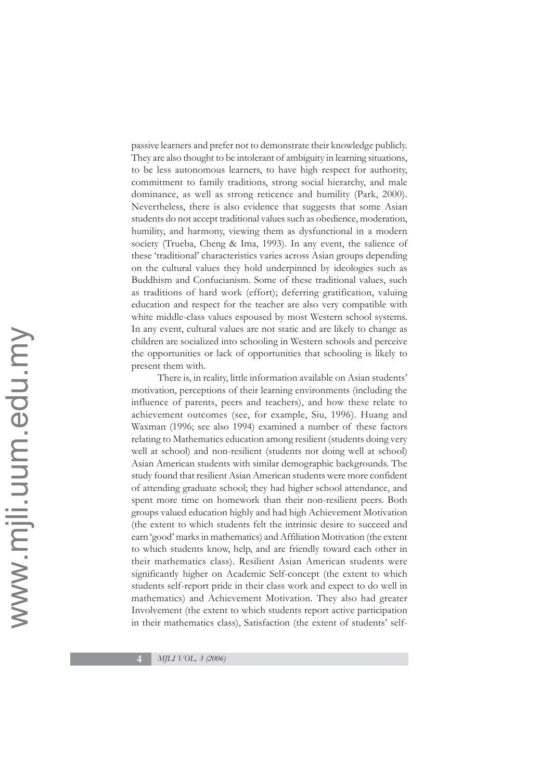passive learners and prefer not to demonstrate their knowledge publicly. They are also thought to be intolerant of ambiguity in learning situations, to be less autonomous learners, to have high respect for authority, commitment to family traditions, strong social hierarchy, and male dominance, as well as strong reticence and humility (Park, 2000). Nevertheless, there is also evidence that suggests that some Asian students do not accept traditional values such as obedience, moderation, humility, and harmony, viewing them as dysfunctional in a modern society (Trueba, Cheng & Ima, 1993). In any event, the salience of these 'traditional' characteristics varies across Asian groups depending on the cultural values they hold underpinned by ideologies such as Buddhism and Confucianism. Some of these traditional values, such as traditions of hard work (effort); deferring gratification, valuing education and respect for the teacher are also very compatible with white middle-class values espoused by most Western school systems. In any event, cultural values are not static and are likely to change as children are socialized into schooling in Western schools and perceive the opportunities or lack of opportunities that schooling is likely to present them with.

There is, in reality, little information available on Asian students' motivation, perceptions of their learning environments (including the influence of parents, peers and teachers), and how these relate to achievement outcomes (see, for example, Siu, 1996). Huang and Waxman (1996; see also 1994) examined a number of these factors relating to Mathematics education among resilient (students doing very well at school) and non-resilient (students not doing well at school) Asian American students with similar demographic backgrounds. The study found that resilient Asian American students were more confident of attending graduate school; they had higher school attendance, and spent more time on homework than their non-resilient peers. Both groups valued education highly and had high Achievement Motivation (the extent to which students felt the intrinsic desire to succeed and earn 'good' marks in mathematics) and Affiliation Motivation (the extent to which students know, help, and are friendly toward each other in their mathematics class). Resilient Asian American students were significantly higher on Academic Self-concept (the extent to which students self-report pride in their class work and expect to do well in mathematics) and Achievement Motivation. They also had greater Involvement (the extent to which students report active participation in their mathematics class), Satisfaction (the extent of students' self-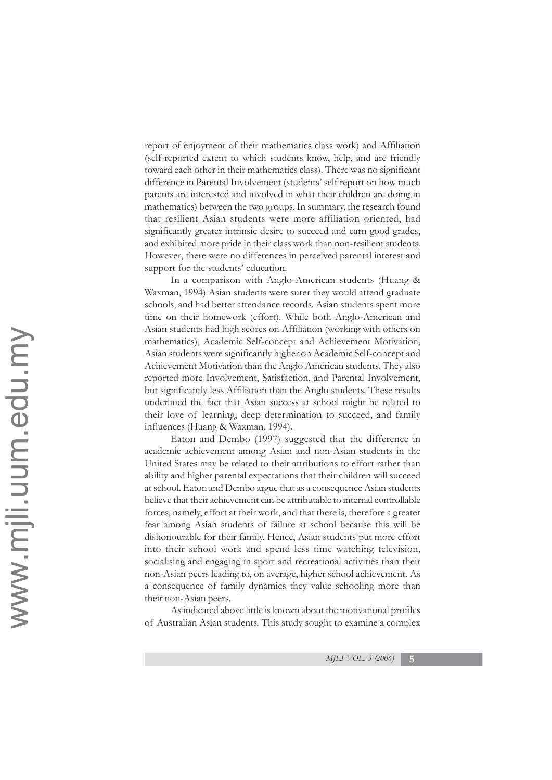report of enjoyment of their mathematics class work) and Affiliation (self-reported extent to which students know, help, and are friendly toward each other in their mathematics class). There was no significant difference in Parental Involvement (students' self report on how much parents are interested and involved in what their children are doing in mathematics) between the two groups. In summary, the research found that resilient Asian students were more affiliation oriented, had significantly greater intrinsic desire to succeed and earn good grades, and exhibited more pride in their class work than non-resilient students. However, there were no differences in perceived parental interest and support for the students' education.

In a comparison with Anglo-American students (Huang & Waxman, 1994) Asian students were surer they would attend graduate schools, and had better attendance records. Asian students spent more time on their homework (effort). While both Anglo-American and Asian students had high scores on Affiliation (working with others on mathematics), Academic Self-concept and Achievement Motivation, Asian students were significantly higher on Academic Self-concept and Achievement Motivation than the Anglo American students. They also reported more Involvement, Satisfaction, and Parental Involvement, but significantly less Affiliation than the Anglo students. These results underlined the fact that Asian success at school might be related to their love of learning, deep determination to succeed, and family influences (Huang & Waxman, 1994).

Eaton and Dembo (1997) suggested that the difference in academic achievement among Asian and non-Asian students in the United States may be related to their attributions to effort rather than ability and higher parental expectations that their children will succeed at school. Eaton and Dembo argue that as a consequence Asian students believe that their achievement can be attributable to internal controllable forces, namely, effort at their work, and that there is, therefore a greater fear among Asian students of failure at school because this will be dishonourable for their family. Hence, Asian students put more effort into their school work and spend less time watching television, socialising and engaging in sport and recreational activities than their non-Asian peers leading to, on average, higher school achievement. As a consequence of family dynamics they value schooling more than their non-Asian peers.

As indicated above little is known about the motivational profiles of Australian Asian students. This study sought to examine a complex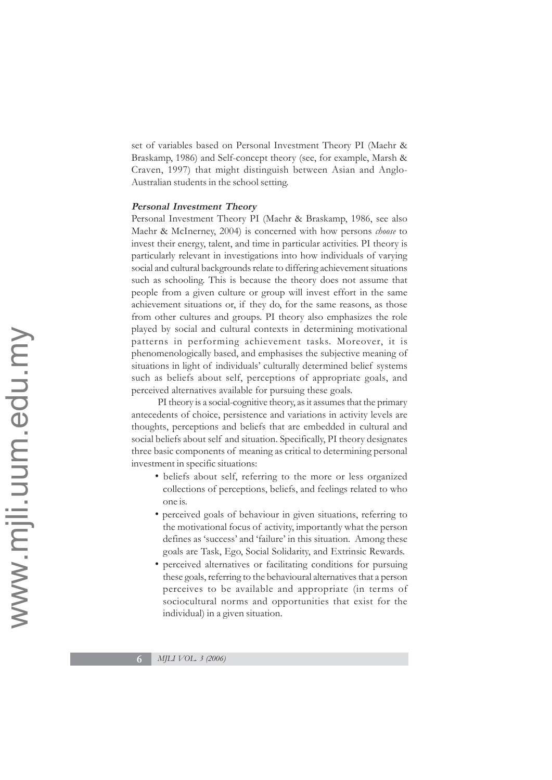set of variables based on Personal Investment Theory PI (Maehr & Braskamp, 1986) and Self-concept theory (see, for example, Marsh & Craven, 1997) that might distinguish between Asian and Anglo-Australian students in the school setting.

#### **Personal Investment Theory**

Personal Investment Theory PI (Maehr & Braskamp, 1986, see also Maehr & McInerney, 2004) is concerned with how persons *choose* to invest their energy, talent, and time in particular activities. PI theory is particularly relevant in investigations into how individuals of varying social and cultural backgrounds relate to differing achievement situations such as schooling. This is because the theory does not assume that people from a given culture or group will invest effort in the same achievement situations or, if they do, for the same reasons, as those from other cultures and groups. PI theory also emphasizes the role played by social and cultural contexts in determining motivational patterns in performing achievement tasks. Moreover, it is phenomenologically based, and emphasises the subjective meaning of situations in light of individuals' culturally determined belief systems such as beliefs about self, perceptions of appropriate goals, and perceived alternatives available for pursuing these goals.

PI theory is a social-cognitive theory, as it assumes that the primary antecedents of choice, persistence and variations in activity levels are thoughts, perceptions and beliefs that are embedded in cultural and social beliefs about self and situation. Specifically, PI theory designates three basic components of meaning as critical to determining personal investment in specific situations:

- beliefs about self, referring to the more or less organized collections of perceptions, beliefs, and feelings related to who one is.
- perceived goals of behaviour in given situations, referring to the motivational focus of activity, importantly what the person defines as 'success' and 'failure' in this situation. Among these goals are Task, Ego, Social Solidarity, and Extrinsic Rewards.
- perceived alternatives or facilitating conditions for pursuing these goals, referring to the behavioural alternatives that a person perceives to be available and appropriate (in terms of sociocultural norms and opportunities that exist for the individual) in a given situation.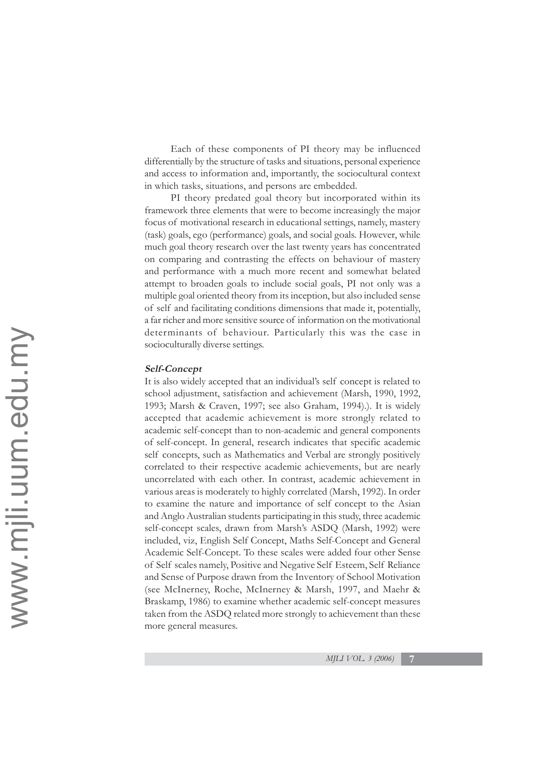Each of these components of PI theory may be influenced differentially by the structure of tasks and situations, personal experience and access to information and, importantly, the sociocultural context in which tasks, situations, and persons are embedded.

PI theory predated goal theory but incorporated within its framework three elements that were to become increasingly the major focus of motivational research in educational settings, namely, mastery (task) goals, ego (performance) goals, and social goals. However, while much goal theory research over the last twenty years has concentrated on comparing and contrasting the effects on behaviour of mastery and performance with a much more recent and somewhat belated attempt to broaden goals to include social goals, PI not only was a multiple goal oriented theory from its inception, but also included sense of self and facilitating conditions dimensions that made it, potentially, a far richer and more sensitive source of information on the motivational determinants of behaviour. Particularly this was the case in socioculturally diverse settings.

# **Self-Concept**

It is also widely accepted that an individual's self concept is related to school adjustment, satisfaction and achievement (Marsh, 1990, 1992, 1993; Marsh & Craven, 1997; see also Graham, 1994).). It is widely accepted that academic achievement is more strongly related to academic self-concept than to non-academic and general components of self-concept. In general, research indicates that specific academic self concepts, such as Mathematics and Verbal are strongly positively correlated to their respective academic achievements, but are nearly uncorrelated with each other. In contrast, academic achievement in various areas is moderately to highly correlated (Marsh, 1992). In order to examine the nature and importance of self concept to the Asian and Anglo Australian students participating in this study, three academic self-concept scales, drawn from Marsh's ASDQ (Marsh, 1992) were included, viz, English Self Concept, Maths Self-Concept and General Academic Self-Concept. To these scales were added four other Sense of Self scales namely, Positive and Negative Self Esteem, Self Reliance and Sense of Purpose drawn from the Inventory of School Motivation (see McInerney, Roche, McInerney & Marsh, 1997, and Maehr & Braskamp, 1986) to examine whether academic self-concept measures taken from the ASDQ related more strongly to achievement than these more general measures.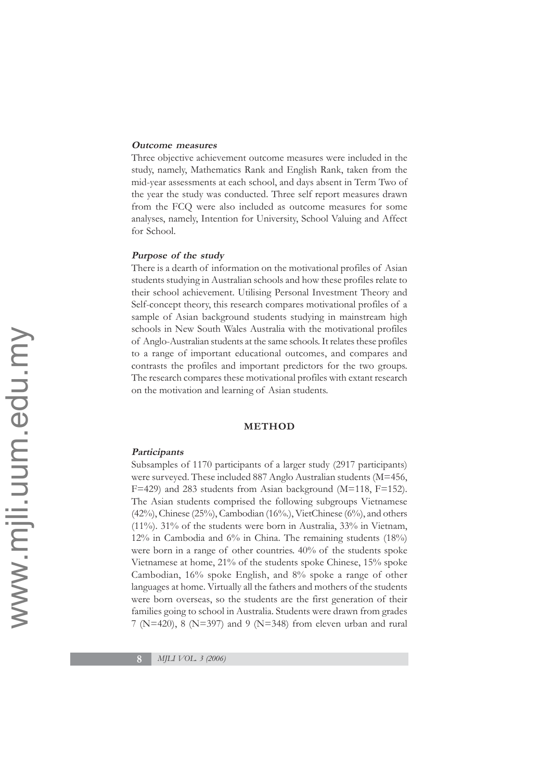#### **Outcome measures**

Three objective achievement outcome measures were included in the study, namely, Mathematics Rank and English Rank, taken from the mid-year assessments at each school, and days absent in Term Two of the year the study was conducted. Three self report measures drawn from the FCQ were also included as outcome measures for some analyses, namely, Intention for University, School Valuing and Affect for School.

#### **Purpose of the study**

There is a dearth of information on the motivational profiles of Asian students studying in Australian schools and how these profiles relate to their school achievement. Utilising Personal Investment Theory and Self-concept theory, this research compares motivational profiles of a sample of Asian background students studying in mainstream high schools in New South Wales Australia with the motivational profiles of Anglo-Australian students at the same schools. It relates these profiles to a range of important educational outcomes, and compares and contrasts the profiles and important predictors for the two groups. The research compares these motivational profiles with extant research on the motivation and learning of Asian students.

#### **METHOD**

#### **Participants**

Subsamples of 1170 participants of a larger study (2917 participants) were surveyed. These included 887 Anglo Australian students (M=456, F=429) and 283 students from Asian background (M=118, F=152). The Asian students comprised the following subgroups Vietnamese (42%), Chinese (25%), Cambodian (16%.), VietChinese (6%), and others (11%). 31% of the students were born in Australia, 33% in Vietnam, 12% in Cambodia and 6% in China. The remaining students (18%) were born in a range of other countries. 40% of the students spoke Vietnamese at home, 21% of the students spoke Chinese, 15% spoke Cambodian, 16% spoke English, and 8% spoke a range of other languages at home. Virtually all the fathers and mothers of the students were born overseas, so the students are the first generation of their families going to school in Australia. Students were drawn from grades 7 (N=420), 8 (N=397) and 9 (N=348) from eleven urban and rural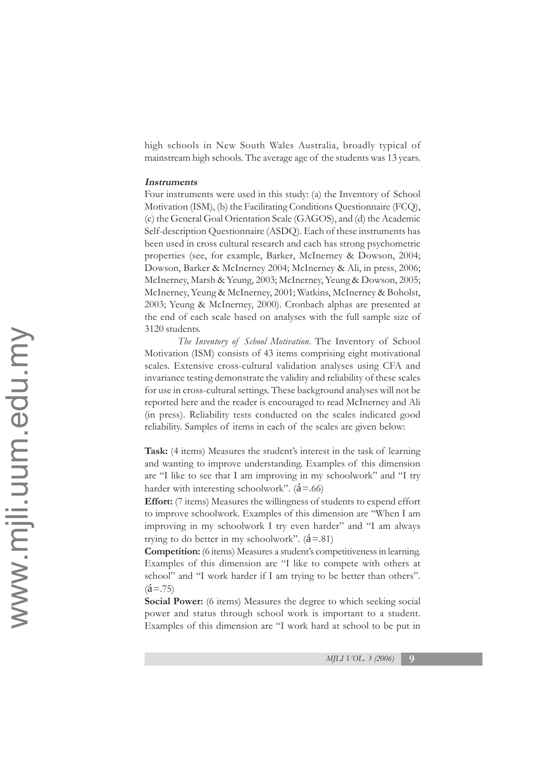high schools in New South Wales Australia, broadly typical of mainstream high schools. The average age of the students was 13 years.

# **Instruments**

Four instruments were used in this study: (a) the Inventory of School Motivation (ISM), (b) the Facilitating Conditions Questionnaire (FCQ), (c) the General Goal Orientation Scale (GAGOS), and (d) the Academic Self-description Questionnaire (ASDQ). Each of these instruments has been used in cross cultural research and each has strong psychometric properties (see, for example, Barker, McInerney & Dowson, 2004; Dowson, Barker & McInerney 2004; McInerney & Ali, in press, 2006; McInerney, Marsh & Yeung, 2003; McInerney, Yeung & Dowson, 2005; McInerney, Yeung & McInerney, 2001; Watkins, McInerney & Boholst, 2003; Yeung & McInerney, 2000). Cronbach alphas are presented at the end of each scale based on analyses with the full sample size of 3120 students.

*The Inventory of School Motivation*. The Inventory of School Motivation (ISM) consists of 43 items comprising eight motivational scales. Extensive cross-cultural validation analyses using CFA and invariance testing demonstrate the validity and reliability of these scales for use in cross-cultural settings. These background analyses will not be reported here and the reader is encouraged to read McInerney and Ali (in press). Reliability tests conducted on the scales indicated good reliability. Samples of items in each of the scales are given below:

**Task:** (4 items) Measures the student's interest in the task of learning and wanting to improve understanding. Examples of this dimension are "I like to see that I am improving in my schoolwork" and "I try harder with interesting schoolwork".  $(\hat{a} = .66)$ 

**Effort:** (7 items) Measures the willingness of students to expend effort to improve schoolwork. Examples of this dimension are "When I am improving in my schoolwork I try even harder" and "I am always trying to do better in my schoolwork".  $(\hat{a}=81)$ 

**Competition:** (6 items) Measures a student's competitiveness in learning. Examples of this dimension are "I like to compete with others at school" and "I work harder if I am trying to be better than others".  $(2 = .75)$ 

**Social Power:** (6 items) Measures the degree to which seeking social power and status through school work is important to a student. Examples of this dimension are "I work hard at school to be put in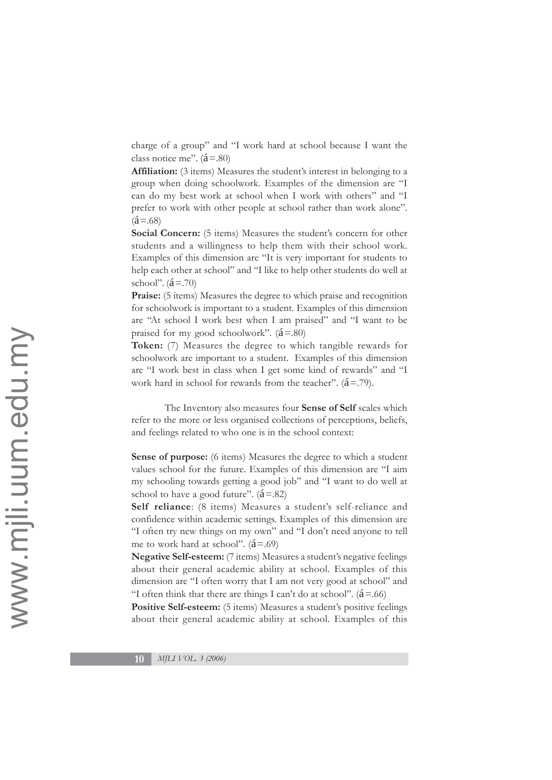charge of a group" and "I work hard at school because I want the class notice me".  $(\acute{a} = .80)$ 

**Affiliation:** (3 items) Measures the student's interest in belonging to a group when doing schoolwork. Examples of the dimension are "I can do my best work at school when I work with others" and "I prefer to work with other people at school rather than work alone".  $(2a = .68)$ 

**Social Concern:** (5 items) Measures the student's concern for other students and a willingness to help them with their school work. Examples of this dimension are "It is very important for students to help each other at school" and "I like to help other students do well at school".  $({\hat{\mathbf{a}}}=.70)$ 

**Praise:** (5 items) Measures the degree to which praise and recognition for schoolwork is important to a student. Examples of this dimension are "At school I work best when I am praised" and "I want to be praised for my good schoolwork".  $(\acute{a}=.80)$ 

**Token:** (7) Measures the degree to which tangible rewards for schoolwork are important to a student. Examples of this dimension are "I work best in class when I get some kind of rewards" and "I work hard in school for rewards from the teacher".  $(\hat{a} = .79)$ .

The Inventory also measures four **Sense of Self** scales which refer to the more or less organised collections of perceptions, beliefs, and feelings related to who one is in the school context:

**Sense of purpose:** (6 items) Measures the degree to which a student values school for the future. Examples of this dimension are "I aim my schooling towards getting a good job" and "I want to do well at school to have a good future".  $(\acute{a} = .82)$ 

**Self reliance**: (8 items) Measures a student's self-reliance and confidence within academic settings. Examples of this dimension are "I often try new things on my own" and "I don't need anyone to tell me to work hard at school".  $(\hat{a} = .69)$ 

**Negative Self-esteem:** (7 items) Measures a student's negative feelings about their general academic ability at school. Examples of this dimension are "I often worry that I am not very good at school" and "I often think that there are things I can't do at school".  $(\hat{a} = .66)$ 

Positive Self-esteem: (5 items) Measures a student's positive feelings about their general academic ability at school. Examples of this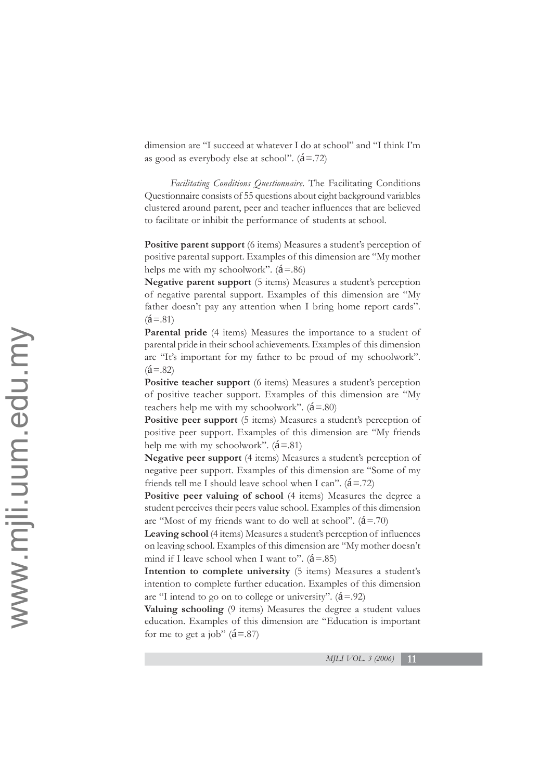dimension are "I succeed at whatever I do at school" and "I think I'm as good as everybody else at school".  $(\hat{a} = .72)$ 

*Facilitating Conditions Questionnaire*. The Facilitating Conditions Questionnaire consists of 55 questions about eight background variables clustered around parent, peer and teacher influences that are believed to facilitate or inhibit the performance of students at school.

**Positive parent support** (6 items) Measures a student's perception of positive parental support. Examples of this dimension are "My mother helps me with my schoolwork".  $(\acute{a} = .86)$ 

**Negative parent support** (5 items) Measures a student's perception of negative parental support. Examples of this dimension are "My father doesn't pay any attention when I bring home report cards".  $(2 = .81)$ 

**Parental pride** (4 items) Measures the importance to a student of parental pride in their school achievements. Examples of this dimension are "It's important for my father to be proud of my schoolwork".  $({\acute{a}} = .82)$ 

Positive teacher support (6 items) Measures a student's perception of positive teacher support. Examples of this dimension are "My teachers help me with my schoolwork".  $(\hat{a}=80)$ 

**Positive peer support** (5 items) Measures a student's perception of positive peer support. Examples of this dimension are "My friends help me with my schoolwork".  $(\hat{a}=.81)$ 

**Negative peer support** (4 items) Measures a student's perception of negative peer support. Examples of this dimension are "Some of my friends tell me I should leave school when I can".  $(\hat{a} = .72)$ 

Positive peer valuing of school (4 items) Measures the degree a student perceives their peers value school. Examples of this dimension are "Most of my friends want to do well at school".  $(\hat{a} = .70)$ 

**Leaving school** (4 items) Measures a student's perception of influences on leaving school. Examples of this dimension are "My mother doesn't mind if I leave school when I want to".  $(\hat{a}=.85)$ 

**Intention to complete university** (5 items) Measures a student's intention to complete further education. Examples of this dimension are "I intend to go on to college or university".  $(\hat{a}=0.92)$ 

**Valuing schooling** (9 items) Measures the degree a student values education. Examples of this dimension are "Education is important for me to get a job"  $(\acute{a}=.87)$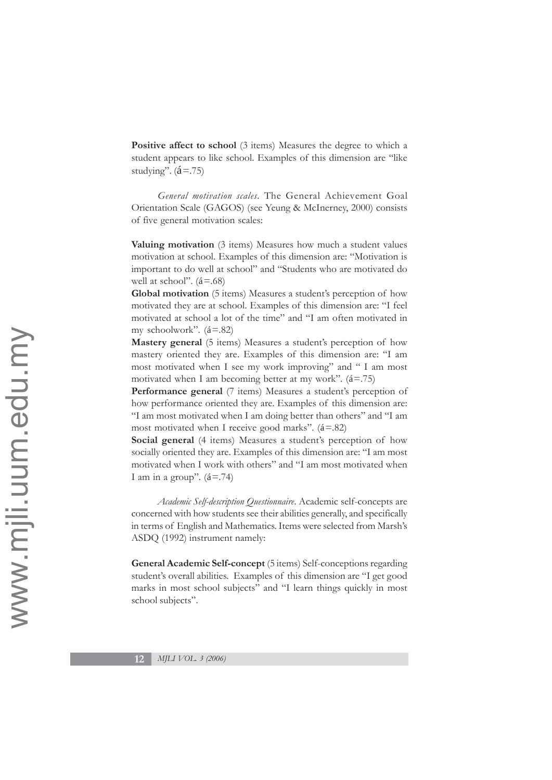**Positive affect to school** (3 items) Measures the degree to which a student appears to like school. Examples of this dimension are "like studying".  $({\acute{a}} = .75)$ 

*General motivation scales.* The General Achievement Goal Orientation Scale (GAGOS) (see Yeung & McInerney, 2000) consists of five general motivation scales:

**Valuing motivation** (3 items) Measures how much a student values motivation at school. Examples of this dimension are: "Motivation is important to do well at school" and "Students who are motivated do well at school".  $(\acute{a} = .68)$ 

**Global motivation** (5 items) Measures a student's perception of how motivated they are at school. Examples of this dimension are: "I feel motivated at school a lot of the time" and "I am often motivated in my schoolwork".  $(a=82)$ 

**Mastery general** (5 items) Measures a student's perception of how mastery oriented they are. Examples of this dimension are: "I am most motivated when I see my work improving" and " I am most motivated when I am becoming better at my work".  $(\hat{a} = .75)$ 

**Performance general** (7 items) Measures a student's perception of how performance oriented they are. Examples of this dimension are: "I am most motivated when I am doing better than others" and "I am most motivated when I receive good marks".  $(\hat{a}=.82)$ 

**Social general** (4 items) Measures a student's perception of how socially oriented they are. Examples of this dimension are: "I am most motivated when I work with others" and "I am most motivated when I am in a group".  $(\hat{a} = .74)$ 

*Academic Self-description Questionnaire*. Academic self-concepts are concerned with how students see their abilities generally, and specifically in terms of English and Mathematics. Items were selected from Marsh's ASDQ (1992) instrument namely:

**General Academic Self-concept** (5 items) Self-conceptions regarding student's overall abilities. Examples of this dimension are "I get good marks in most school subjects" and "I learn things quickly in most school subjects".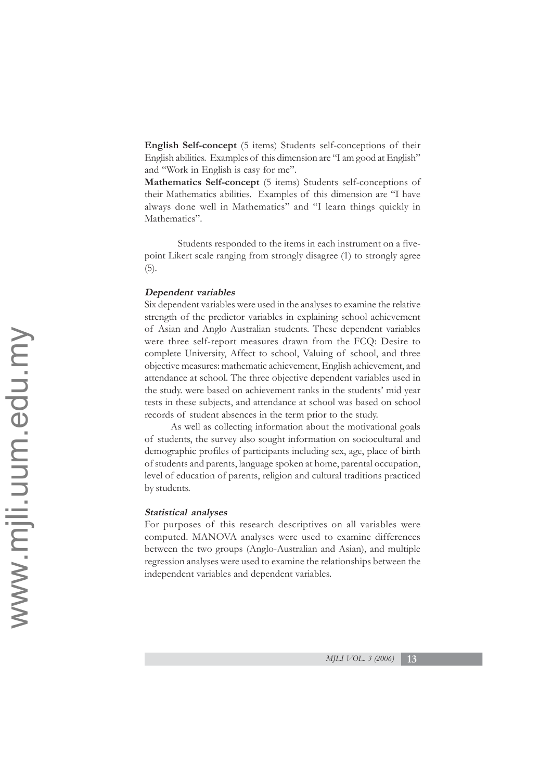**English Self-concept** (5 items) Students self-conceptions of their English abilities. Examples of this dimension are "I am good at English" and "Work in English is easy for me".

**Mathematics Self-concept** (5 items) Students self-conceptions of their Mathematics abilities. Examples of this dimension are "I have always done well in Mathematics" and "I learn things quickly in Mathematics".

Students responded to the items in each instrument on a fivepoint Likert scale ranging from strongly disagree (1) to strongly agree (5).

### **Dependent variables**

Six dependent variables were used in the analyses to examine the relative strength of the predictor variables in explaining school achievement of Asian and Anglo Australian students. These dependent variables were three self-report measures drawn from the FCQ: Desire to complete University, Affect to school, Valuing of school, and three objective measures: mathematic achievement, English achievement, and attendance at school. The three objective dependent variables used in the study. were based on achievement ranks in the students' mid year tests in these subjects, and attendance at school was based on school records of student absences in the term prior to the study.

As well as collecting information about the motivational goals of students, the survey also sought information on sociocultural and demographic profiles of participants including sex, age, place of birth of students and parents, language spoken at home, parental occupation, level of education of parents, religion and cultural traditions practiced by students.

#### **Statistical analyses**

For purposes of this research descriptives on all variables were computed. MANOVA analyses were used to examine differences between the two groups (Anglo-Australian and Asian), and multiple regression analyses were used to examine the relationships between the independent variables and dependent variables.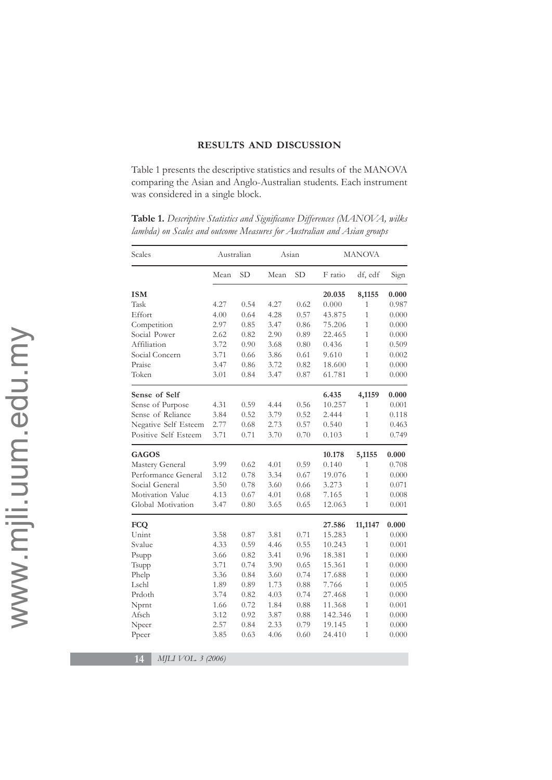# **RESULTS AND DISCUSSION**

Table 1 presents the descriptive statistics and results of the MANOVA comparing the Asian and Anglo-Australian students. Each instrument was considered in a single block.

| Scales               | Australian |           | Asian |           | <b>MANOVA</b> |                |       |
|----------------------|------------|-----------|-------|-----------|---------------|----------------|-------|
|                      | Mean       | <b>SD</b> | Mean  | <b>SD</b> | F ratio       | df, edf        | Sign  |
| <b>ISM</b>           |            |           |       |           | 20.035        | 8,1155         | 0.000 |
| Task                 | 4.27       | 0.54      | 4.27  | 0.62      | 0.000         | 1              | 0.987 |
| Effort               | 4.00       | 0.64      | 4.28  | 0.57      | 43.875        | $\mathbf{1}$   | 0.000 |
| Competition          | 2.97       | 0.85      | 3.47  | 0.86      | 75.206        | 1              | 0.000 |
| Social Power         | 2.62       | 0.82      | 2.90  | 0.89      | 22.465        | $\mathbf{1}$   | 0.000 |
| Affiliation          | 3.72       | 0.90      | 3.68  | 0.80      | 0.436         | 1              | 0.509 |
| Social Concern       | 3.71       | 0.66      | 3.86  | 0.61      | 9.610         | $\mathbf{1}$   | 0.002 |
| Praise               | 3.47       | 0.86      | 3.72  | 0.82      | 18.600        | $\overline{1}$ | 0.000 |
| Token                | 3.01       | 0.84      | 3.47  | 0.87      | 61.781        | $\mathbf{1}$   | 0.000 |
| Sense of Self        |            |           |       |           | 6.435         | 4,1159         | 0.000 |
| Sense of Purpose     | 4.31       | 0.59      | 4.44  | 0.56      | 10.257        | $\overline{1}$ | 0.001 |
| Sense of Reliance    | 3.84       | 0.52      | 3.79  | 0.52      | 2.444         | 1              | 0.118 |
| Negative Self Esteem | 2.77       | 0.68      | 2.73  | 0.57      | 0.540         | $\mathbf{1}$   | 0.463 |
| Positive Self Esteem | 3.71       | 0.71      | 3.70  | 0.70      | 0.103         | $\mathbf{1}$   | 0.749 |
| <b>GAGOS</b>         |            |           |       |           | 10.178        | 5,1155         | 0.000 |
| Mastery General      | 3.99       | 0.62      | 4.01  | 0.59      | 0.140         | $\mathbf{1}$   | 0.708 |
| Performance General  | 3.12       | 0.78      | 3.34  | 0.67      | 19.076        | $\mathbf{1}$   | 0.000 |
| Social General       | 3.50       | 0.78      | 3.60  | 0.66      | 3.273         | 1              | 0.071 |
| Motivation Value     | 4.13       | 0.67      | 4.01  | 0.68      | 7.165         | $\mathbf{1}$   | 0.008 |
| Global Motivation    | 3.47       | 0.80      | 3.65  | 0.65      | 12.063        | $\mathbf{1}$   | 0.001 |
| <b>FCQ</b>           |            |           |       |           | 27.586        | 11,1147        | 0.000 |
| Unint                | 3.58       | 0.87      | 3.81  | 0.71      | 15.283        | 1              | 0.000 |
| Svalue               | 4.33       | 0.59      | 4.46  | 0.55      | 10.243        | $\mathbf{1}$   | 0.001 |
| Psupp                | 3.66       | 0.82      | 3.41  | 0.96      | 18.381        | $\overline{1}$ | 0.000 |
| Tsupp                | 3.71       | 0.74      | 3.90  | 0.65      | 15.361        | $\mathbf{1}$   | 0.000 |
| Phelp                | 3.36       | 0.84      | 3.60  | 0.74      | 17.688        | $\mathbf{1}$   | 0.000 |
| Lschl                | 1.89       | 0.89      | 1.73  | 0.88      | 7.766         | $\overline{1}$ | 0.005 |
| Prdoth               | 3.74       | 0.82      | 4.03  | 0.74      | 27.468        | $\mathbf{1}$   | 0.000 |
| Nprnt                | 1.66       | 0.72      | 1.84  | 0.88      | 11.368        | $\mathbf{1}$   | 0.001 |
| Afsch                | 3.12       | 0.92      | 3.87  | 0.88      | 142.346       | 1              | 0.000 |
| Npeer                | 2.57       | 0.84      | 2.33  | 0.79      | 19.145        | $\mathbf{1}$   | 0.000 |
| Ppeer                | 3.85       | 0.63      | 4.06  | 0.60      | 24.410        | $\mathbf{1}$   | 0.000 |

**Table 1.** *Descriptive Statistics and Significance Differences (MANOVA, wilks lambda) on Scales and outcome Measures for Australian and Asian groups*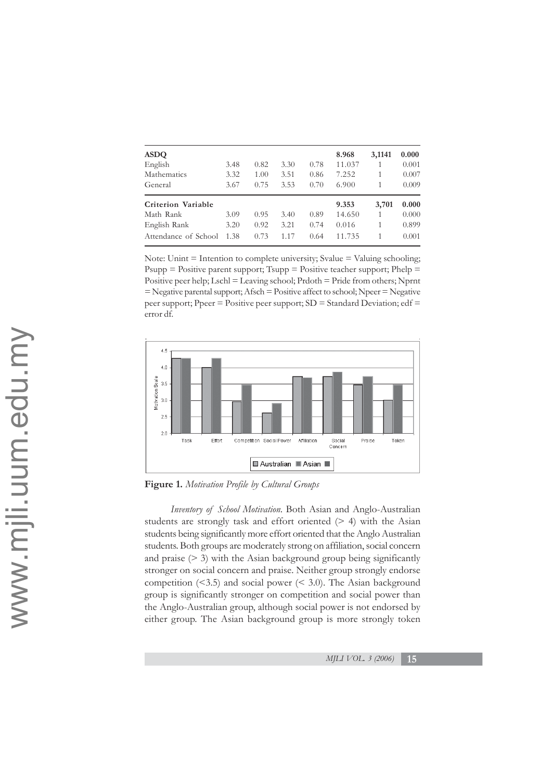| <b>ASDO</b>          |       |       |       |      | 8.968  | 3,1141 | 0.000 |
|----------------------|-------|-------|-------|------|--------|--------|-------|
| English              | 3.48  | 0.82  | 3.30  | 0.78 | 11.037 |        | 0.001 |
| Mathematics          | 3.32  | 1.00  | 3.51  | 0.86 | 7.252  |        | 0.007 |
| General              | 3.67  | 0.75  | 3.53  | 0.70 | 6.900  |        | 0.009 |
| Criterion Variable   | 9.353 | 3,701 | 0.000 |      |        |        |       |
| Math Rank            | 3.09  | 0.95  | 3.40  | 0.89 | 14.650 |        | 0.000 |
| English Rank         | 3.20  | 0.92  | 3.21  | 0.74 | 0.016  | 1      | 0.899 |
| Attendance of School | 1.38  | 0.73  | 1.17  | 0.64 | 11.735 |        | 0.001 |

Note: Unint  $=$  Intention to complete university; Svalue  $=$  Valuing schooling; Psupp  $=$  Positive parent support; Tsupp  $=$  Positive teacher support; Phelp  $=$ Positive peer help; Lschl = Leaving school; Prdoth = Pride from others; Nprnt = Negative parental support; Afsch = Positive affect to school; Npeer = Negative peer support; Ppeer = Positive peer support;  $SD = Standard Deviation$ ; edf = error df*.*



**Figure 1.** *Motivation Profile by Cultural Groups*

*Inventory of School Motivation*. Both Asian and Anglo-Australian students are strongly task and effort oriented (> 4) with the Asian students being significantly more effort oriented that the Anglo Australian students. Both groups are moderately strong on affiliation, social concern and praise (> 3) with the Asian background group being significantly stronger on social concern and praise. Neither group strongly endorse competition  $($ <3.5) and social power  $($ <3.0). The Asian background group is significantly stronger on competition and social power than the Anglo-Australian group, although social power is not endorsed by either group. The Asian background group is more strongly token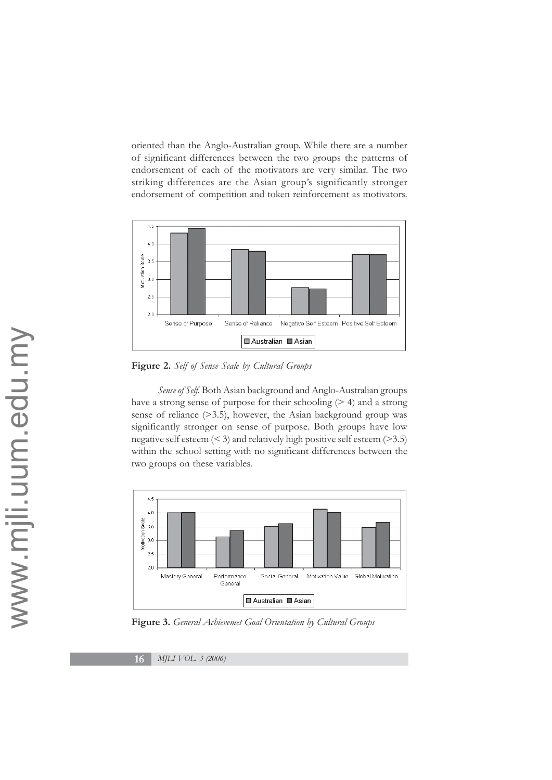oriented than the Anglo-Australian group. While there are a number of significant differences between the two groups the patterns of endorsement of each of the motivators are very similar. The two striking differences are the Asian group's significantly stronger endorsement of competition and token reinforcement as motivators.



**Figure 2.** *Self of Sense Scale by Cultural Groups*

*Sense of Self.* Both Asian background and Anglo-Australian groups have a strong sense of purpose for their schooling  $(> 4)$  and a strong sense of reliance (>3.5), however, the Asian background group was significantly stronger on sense of purpose. Both groups have low negative self esteem  $( $3$ )$  and relatively high positive self esteem  $(>3.5)$ within the school setting with no significant differences between the two groups on these variables.



**Figure 3.** *General Achievemet Goal Orientation by Cultural Groups*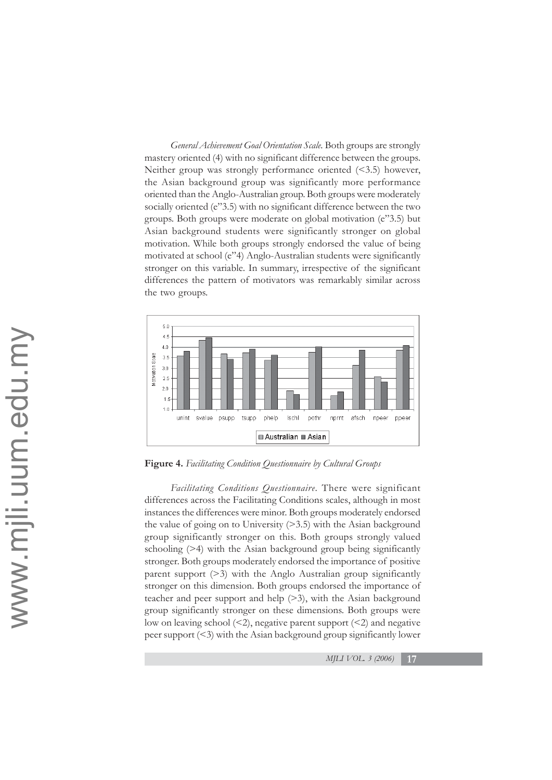*General Achievement Goal Orientation Scale.* Both groups are strongly mastery oriented (4) with no significant difference between the groups. Neither group was strongly performance oriented (<3.5) however, the Asian background group was significantly more performance oriented than the Anglo-Australian group. Both groups were moderately socially oriented (e"3.5) with no significant difference between the two groups. Both groups were moderate on global motivation (e"3.5) but Asian background students were significantly stronger on global motivation. While both groups strongly endorsed the value of being motivated at school (e"4) Anglo-Australian students were significantly stronger on this variable. In summary, irrespective of the significant differences the pattern of motivators was remarkably similar across the two groups.



**Figure 4.** *Facilitating Condition Questionnaire by Cultural Groups*

*Facilitating Conditions Questionnaire*. There were significant differences across the Facilitating Conditions scales, although in most instances the differences were minor. Both groups moderately endorsed the value of going on to University (>3.5) with the Asian background group significantly stronger on this. Both groups strongly valued schooling (>4) with the Asian background group being significantly stronger. Both groups moderately endorsed the importance of positive parent support (>3) with the Anglo Australian group significantly stronger on this dimension. Both groups endorsed the importance of teacher and peer support and help (>3), with the Asian background group significantly stronger on these dimensions. Both groups were low on leaving school  $\leq$ 2), negative parent support  $\leq$ 2) and negative peer support (<3) with the Asian background group significantly lower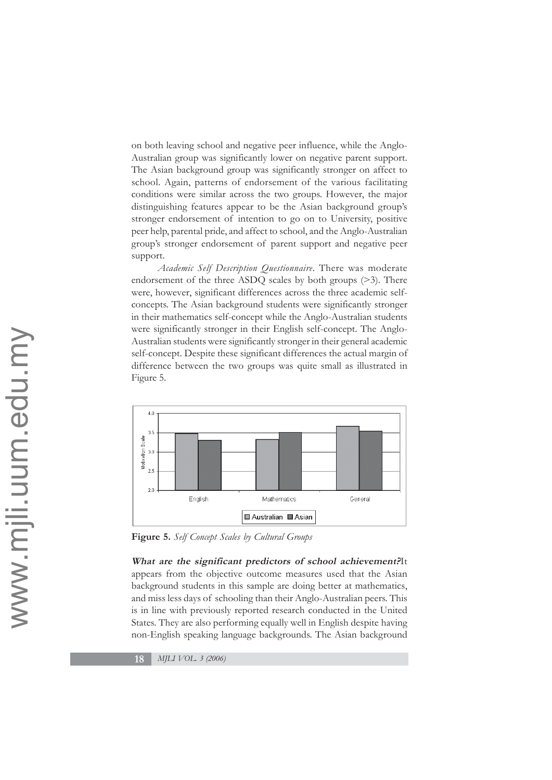on both leaving school and negative peer influence, while the Anglo-Australian group was significantly lower on negative parent support. The Asian background group was significantly stronger on affect to school. Again, patterns of endorsement of the various facilitating conditions were similar across the two groups. However, the major distinguishing features appear to be the Asian background group's stronger endorsement of intention to go on to University, positive peer help, parental pride, and affect to school, and the Anglo-Australian group's stronger endorsement of parent support and negative peer support.

*Academic Self Description Questionnaire*. There was moderate endorsement of the three ASDQ scales by both groups (>3). There were, however, significant differences across the three academic selfconcepts. The Asian background students were significantly stronger in their mathematics self-concept while the Anglo-Australian students were significantly stronger in their English self-concept. The Anglo-Australian students were significantly stronger in their general academic self-concept. Despite these significant differences the actual margin of difference between the two groups was quite small as illustrated in Figure 5.



**Figure 5.** *Self Concept Scales by Cultural Groups*

**What are the significant predictors of school achievement?**It appears from the objective outcome measures used that the Asian background students in this sample are doing better at mathematics, and miss less days of schooling than their Anglo-Australian peers. This is in line with previously reported research conducted in the United States. They are also performing equally well in English despite having non-English speaking language backgrounds. The Asian background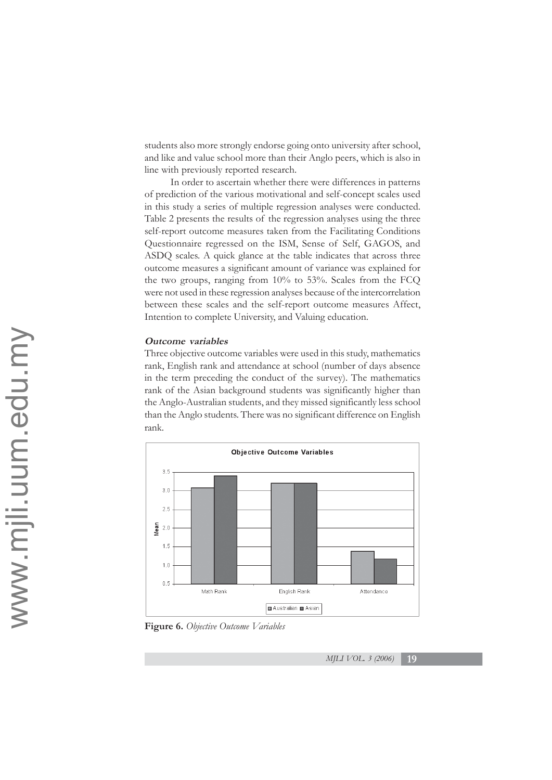students also more strongly endorse going onto university after school, and like and value school more than their Anglo peers, which is also in line with previously reported research.

In order to ascertain whether there were differences in patterns of prediction of the various motivational and self-concept scales used in this study a series of multiple regression analyses were conducted. Table 2 presents the results of the regression analyses using the three self-report outcome measures taken from the Facilitating Conditions Questionnaire regressed on the ISM, Sense of Self, GAGOS, and ASDQ scales. A quick glance at the table indicates that across three outcome measures a significant amount of variance was explained for the two groups, ranging from 10% to 53%. Scales from the FCQ were not used in these regression analyses because of the intercorrelation between these scales and the self-report outcome measures Affect, Intention to complete University, and Valuing education.

### **Outcome variables**

Three objective outcome variables were used in this study, mathematics rank, English rank and attendance at school (number of days absence in the term preceding the conduct of the survey). The mathematics rank of the Asian background students was significantly higher than the Anglo-Australian students, and they missed significantly less school than the Anglo students. There was no significant difference on English rank.



**Figure 6.** *Objective Outcome Variables*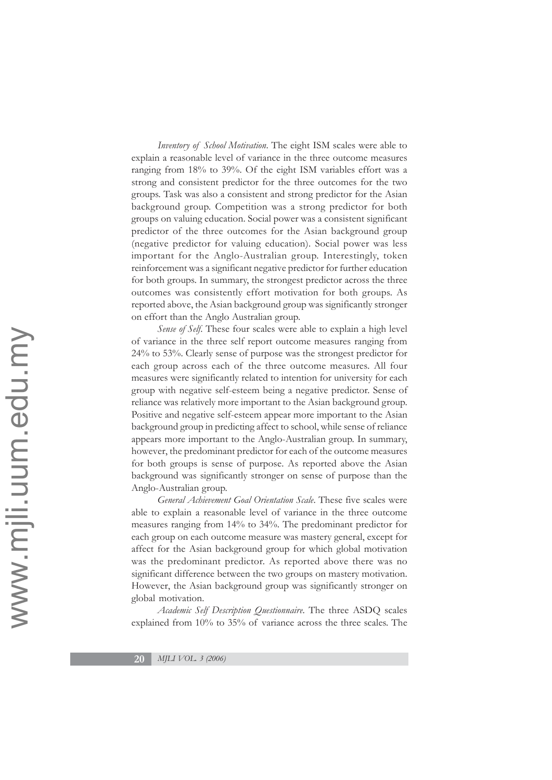*Inventory of School Motivation*. The eight ISM scales were able to explain a reasonable level of variance in the three outcome measures ranging from 18% to 39%. Of the eight ISM variables effort was a strong and consistent predictor for the three outcomes for the two groups. Task was also a consistent and strong predictor for the Asian background group. Competition was a strong predictor for both groups on valuing education. Social power was a consistent significant predictor of the three outcomes for the Asian background group (negative predictor for valuing education). Social power was less important for the Anglo-Australian group. Interestingly, token reinforcement was a significant negative predictor for further education for both groups. In summary, the strongest predictor across the three outcomes was consistently effort motivation for both groups. As reported above, the Asian background group was significantly stronger on effort than the Anglo Australian group.

*Sense of Self*. These four scales were able to explain a high level of variance in the three self report outcome measures ranging from 24% to 53%. Clearly sense of purpose was the strongest predictor for each group across each of the three outcome measures. All four measures were significantly related to intention for university for each group with negative self-esteem being a negative predictor. Sense of reliance was relatively more important to the Asian background group. Positive and negative self-esteem appear more important to the Asian background group in predicting affect to school, while sense of reliance appears more important to the Anglo-Australian group. In summary, however, the predominant predictor for each of the outcome measures for both groups is sense of purpose. As reported above the Asian background was significantly stronger on sense of purpose than the Anglo-Australian group.

*General Achievement Goal Orientation Scale*. These five scales were able to explain a reasonable level of variance in the three outcome measures ranging from 14% to 34%. The predominant predictor for each group on each outcome measure was mastery general, except for affect for the Asian background group for which global motivation was the predominant predictor. As reported above there was no significant difference between the two groups on mastery motivation. However, the Asian background group was significantly stronger on global motivation.

*Academic Self Description Questionnaire*. The three ASDQ scales explained from 10% to 35% of variance across the three scales. The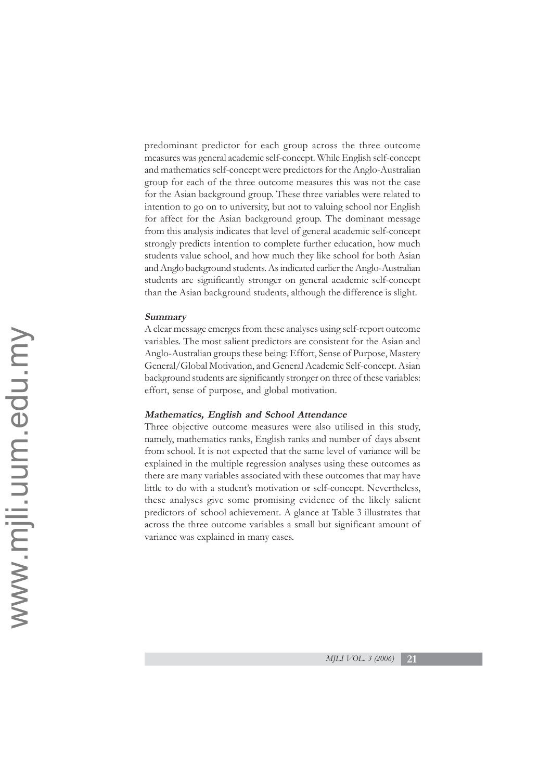predominant predictor for each group across the three outcome measures was general academic self-concept. While English self-concept and mathematics self-concept were predictors for the Anglo-Australian group for each of the three outcome measures this was not the case for the Asian background group. These three variables were related to intention to go on to university, but not to valuing school nor English for affect for the Asian background group. The dominant message from this analysis indicates that level of general academic self-concept strongly predicts intention to complete further education, how much students value school, and how much they like school for both Asian and Anglo background students. As indicated earlier the Anglo-Australian students are significantly stronger on general academic self-concept than the Asian background students, although the difference is slight.

### **Summary**

A clear message emerges from these analyses using self-report outcome variables. The most salient predictors are consistent for the Asian and Anglo-Australian groups these being: Effort, Sense of Purpose, Mastery General/Global Motivation, and General Academic Self-concept. Asian background students are significantly stronger on three of these variables: effort, sense of purpose, and global motivation.

# **Mathematics, English and School Attendance**

Three objective outcome measures were also utilised in this study, namely, mathematics ranks, English ranks and number of days absent from school. It is not expected that the same level of variance will be explained in the multiple regression analyses using these outcomes as there are many variables associated with these outcomes that may have little to do with a student's motivation or self-concept. Nevertheless, these analyses give some promising evidence of the likely salient predictors of school achievement. A glance at Table 3 illustrates that across the three outcome variables a small but significant amount of variance was explained in many cases.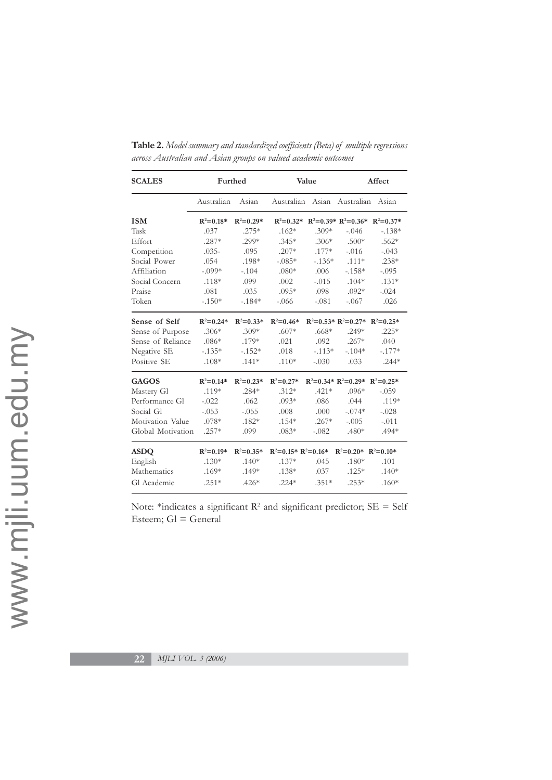| <b>SCALES</b>     | Furthed       |               |                       | Value    | Affect                          |          |  |
|-------------------|---------------|---------------|-----------------------|----------|---------------------------------|----------|--|
|                   | Australian    | Asian         |                       |          | Australian Asian Australian     | Asian    |  |
| <b>ISM</b>        | $R^2 = 0.18*$ | $R^2 = 0.29*$ | $R^2 = 0.32*$         |          | $R^2=0.39* R^2=0.36* R^2=0.37*$ |          |  |
| Task              | .037          | $.275*$       | $.162*$               | $.309*$  | $-.046$                         | $-.138*$ |  |
| Effort            | $.287*$       | $.299*$       | $.345*$               | $.306*$  | $.500*$                         | $.562*$  |  |
| Competition       | $.035-$       | .095          | $.207*$               | $.177*$  | $-.016$                         | $-.043$  |  |
| Social Power      | .054          | .198*         | $-.085*$              | $-.136*$ | $.111*$                         | $.238*$  |  |
| Affiliation       | $-.099*$      | $-.104$       | $.080*$               | .006     | $-.158*$                        | $-.095$  |  |
| Social Concern    | $.118*$       | .099          | .002                  | $-.015$  | $.104*$                         | $.131*$  |  |
| Praise            | .081          | .035          | $.095*$               | .098     | $.092*$                         | $-.024$  |  |
| Token             | $-.150*$      | $-184*$       | $-.066$               | $-.081$  | $-.067$                         | .026     |  |
| Sense of Self     | $R^2 = 0.24*$ | $R^2 = 0.33*$ | $R^2 = 0.46*$         |          | $R^2=0.53* R^2=0.27* R^2=0.25*$ |          |  |
| Sense of Purpose  | $.306*$       | $.309*$       | $.607*$               | $.668*$  | $.249*$                         | $.225*$  |  |
| Sense of Reliance | $.086*$       | $.179*$       | .021                  | .092     | $.267*$                         | .040     |  |
| Negative SE       | $-.135*$      | $-.152*$      | .018                  | $-.113*$ | $-.104*$                        | $-.177*$ |  |
| Positive SE       | $.108*$       | $.141*$       | $.110*$               | $-.030$  | .033                            | $.244*$  |  |
| <b>GAGOS</b>      | $R^2 = 0.14*$ | $R^2 = 0.23*$ | $R^2 = 0.27*$         |          | $R^2=0.34* R^2=0.29* R^2=0.25*$ |          |  |
| Mastery Gl        | $.119*$       | $.284*$       | $.312*$               | $.421*$  | $.096*$                         | $-.059$  |  |
| Performance Gl    | $-.022$       | .062          | $.093*$               | .086     | .044                            | $.119*$  |  |
| Social Gl         | $-.053$       | $-.055$       | .008                  | .000     | $-.074*$                        | $-.028$  |  |
| Motivation Value  | $.078*$       | $.182*$       | $.154*$               | $.267*$  | $-.005$                         | $-.011$  |  |
| Global Motivation | $.257*$       | .099          | $.083*$               | $-.082$  | $.480*$                         | $.494*$  |  |
| <b>ASDQ</b>       | $R^2 = 0.19*$ | $R^2 = 0.35*$ | $R^2=0.15* R^2=0.16*$ |          | $R^2=0.20^*$ $R^2=0.10^*$       |          |  |
| English           | $.130*$       | $.140*$       | $.137*$               | .045     | $.180*$                         | .101     |  |
| Mathematics       | $.169*$       | $.149*$       | $.138*$               | .037     | $.125*$                         | $.140*$  |  |
| Gl Academic       | $.251*$       | $.426*$       | $.224*$               | $.351*$  | $.253*$                         | $.160*$  |  |

**Table 2.** *Model summary and standardized coefficients (Beta) of multiple regressions across Australian and Asian groups on valued academic outcomes*

Note: \*indicates a significant  $R^2$  and significant predictor;  $SE = Self$ Esteem; Gl = General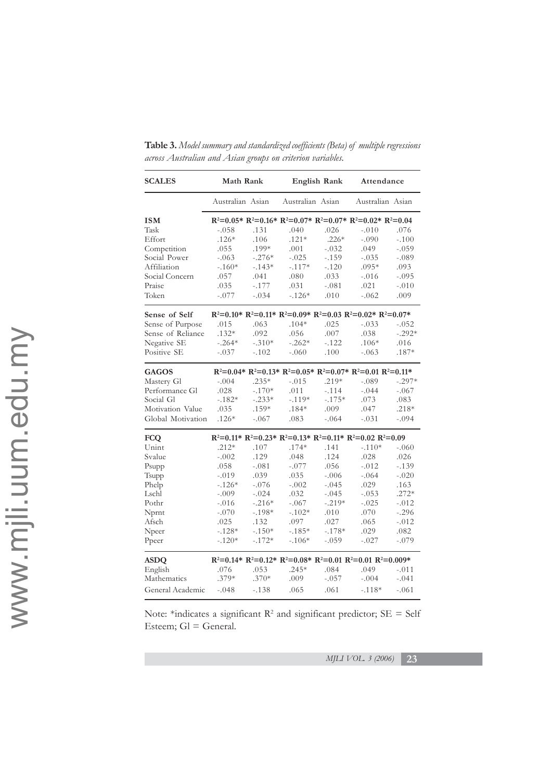| <b>SCALES</b>     | Math Rank                                                                   |          |                  | English Rank | Attendance                                                                |          |  |  |
|-------------------|-----------------------------------------------------------------------------|----------|------------------|--------------|---------------------------------------------------------------------------|----------|--|--|
|                   | Australian Asian                                                            |          | Australian Asian |              | Australian Asian                                                          |          |  |  |
| <b>ISM</b>        |                                                                             |          |                  |              | $R^2=0.05* R^2=0.16* R^2=0.07* R^2=0.07* R^2=0.02* R^2=0.04$              |          |  |  |
| Task              | $-.058$                                                                     | .131     | .040             | .026         | $-.010$                                                                   | .076     |  |  |
| Effort            | $.126*$                                                                     | .106     | $.121*$          | $.226*$      | $-.090$                                                                   | $-.100$  |  |  |
| Competition       | .055                                                                        | .199*    | .001             | $-.032$      | .049                                                                      | $-.059$  |  |  |
| Social Power      | $-.063$                                                                     | $-.276*$ | $-.025$          | $-.159$      | $-.035$                                                                   | $-.089$  |  |  |
| Affiliation       | $-.160*$                                                                    | $-.143*$ | $-.117*$         | $-.120$      | $.095*$                                                                   | .093     |  |  |
| Social Concern    | .057                                                                        | .041     | .080             | .033         | $-.016$                                                                   | $-.095$  |  |  |
| Praise            | .035                                                                        | $-.177$  | .031             | $-.081$      | .021                                                                      | $-.010$  |  |  |
| Token             | $-.077$                                                                     | $-.034$  | $-.126*$         | .010         | $-.062$                                                                   | .009     |  |  |
| Sense of Self     | $R^2=0.10^*$ $R^2=0.11^*$ $R^2=0.09^*$ $R^2=0.03$ $R^2=0.02^*$ $R^2=0.07^*$ |          |                  |              |                                                                           |          |  |  |
| Sense of Purpose  | .015                                                                        | .063     | $.104*$          | .025         | $-.033$                                                                   | $-.052$  |  |  |
| Sense of Reliance | $.132*$                                                                     | .092     | .056             | .007         | .038                                                                      | $-.292*$ |  |  |
| Negative SE       | $-.264*$                                                                    | $-.310*$ | $-.262*$         | $-.122$      | $.106*$                                                                   | .016     |  |  |
| Positive SE       | $-.037$                                                                     | $-.102$  | $-.060$          | .100         | $-.063$                                                                   | $.187*$  |  |  |
| <b>GAGOS</b>      | $R^2=0.04* R^2=0.13* R^2=0.05* R^2=0.07* R^2=0.01 R^2=0.11*$                |          |                  |              |                                                                           |          |  |  |
| Mastery Gl        | $-.004$                                                                     | $.235*$  | $-.015$          | $.219*$      | $-.089$                                                                   | $-.297*$ |  |  |
| Performance Gl    | .028                                                                        | $-.170*$ | .011             | $-.114$      | $-.044$                                                                   | $-.067$  |  |  |
| Social Gl         | $-.182*$                                                                    | $-.233*$ | $-.119*$         | $-.175*$     | .073                                                                      | .083     |  |  |
| Motivation Value  | .035                                                                        | $.159*$  | $.184*$          | .009         | .047                                                                      | $.218*$  |  |  |
| Global Motivation | $.126*$                                                                     | $-.067$  | .083             | $-.064$      | $-.031$                                                                   | $-.094$  |  |  |
| <b>FCO</b>        |                                                                             |          |                  |              | $R^2=0.11^*$ $R^2=0.23^*$ $R^2=0.13^*$ $R^2=0.11^*$ $R^2=0.02$ $R^2=0.09$ |          |  |  |
| Unint             | $.212*$                                                                     | .107     | $.174*$          | .141         | $-.110*$                                                                  | $-.060$  |  |  |
| Svalue            | $-.002$                                                                     | .129     | .048             | .124         | .028                                                                      | .026     |  |  |
| Psupp             | .058                                                                        | $-.081$  | $-.077$          | .056         | $-.012$                                                                   | $-.139$  |  |  |
| Tsupp             | $-.019$                                                                     | .039     | .035             | $-.006$      | $-.064$                                                                   | $-.020$  |  |  |
| Phelp             | $-.126*$                                                                    | $-.076$  | $-.002$          | $-.045$      | .029                                                                      | .163     |  |  |
| Lschl             | $-.009$                                                                     | $-.024$  | .032             | $-.045$      | $-.053$                                                                   | $.272*$  |  |  |
| Pothr             | $-.016$                                                                     | $-.216*$ | $-.067$          | $-.219*$     | $-.025$                                                                   | $-.012$  |  |  |
| Nprnt             | $-.070$                                                                     | $-.198*$ | $-.102*$         | .010         | .070                                                                      | $-.296$  |  |  |
| Afsch             | .025                                                                        | .132     | .097             | .027         | .065                                                                      | $-.012$  |  |  |
| Npeer             | $-.128*$                                                                    | $-.150*$ | $-.185*$         | $-.178*$     | .029                                                                      | .082     |  |  |
| Ppeer             | $-.120*$                                                                    | $-.172*$ | $-.106*$         | $-.059$      | $-.027$                                                                   | $-.079$  |  |  |
| <b>ASDQ</b>       |                                                                             |          |                  |              | $R^2=0.14* R^2=0.12* R^2=0.08* R^2=0.01 R^2=0.01 R^2=0.009*$              |          |  |  |
| English           | .076                                                                        | .053     | $.245*$          | .084         | .049                                                                      | $-.011$  |  |  |
| Mathematics       | $.379*$                                                                     | $.370*$  | .009             | $-.057$      | $-.004$                                                                   | $-.041$  |  |  |
| General Academic  | $-.048$                                                                     | $-.138$  | .065             | .061         | $-.118*$                                                                  | $-.061$  |  |  |

**Table 3.** *Model summary and standardized coefficients (Beta) of multiple regressions across Australian and Asian groups on criterion variables.*

Note: \*indicates a significant  $\mathbb{R}^2$  and significant predictor;  $SE = Self$ Esteem; Gl = General.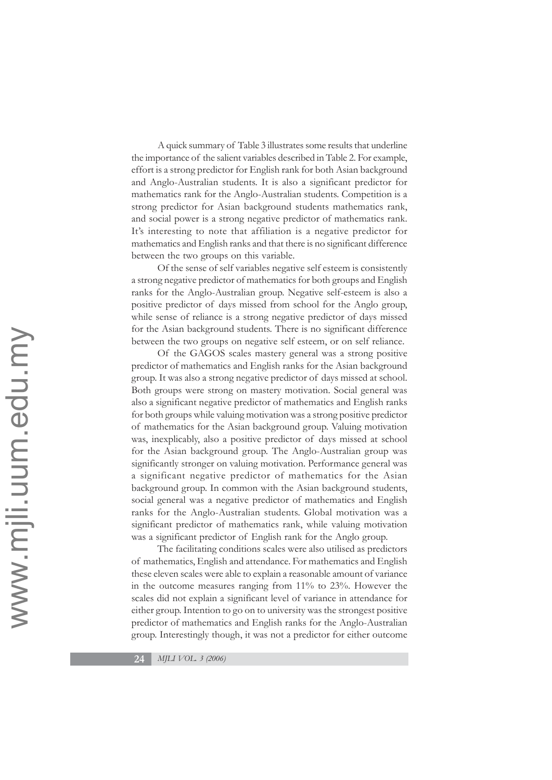A quick summary of Table 3 illustrates some results that underline the importance of the salient variables described in Table 2. For example, effort is a strong predictor for English rank for both Asian background and Anglo-Australian students. It is also a significant predictor for mathematics rank for the Anglo-Australian students. Competition is a strong predictor for Asian background students mathematics rank, and social power is a strong negative predictor of mathematics rank. It's interesting to note that affiliation is a negative predictor for mathematics and English ranks and that there is no significant difference between the two groups on this variable.

Of the sense of self variables negative self esteem is consistently a strong negative predictor of mathematics for both groups and English ranks for the Anglo-Australian group. Negative self-esteem is also a positive predictor of days missed from school for the Anglo group, while sense of reliance is a strong negative predictor of days missed for the Asian background students. There is no significant difference between the two groups on negative self esteem, or on self reliance.

Of the GAGOS scales mastery general was a strong positive predictor of mathematics and English ranks for the Asian background group. It was also a strong negative predictor of days missed at school. Both groups were strong on mastery motivation. Social general was also a significant negative predictor of mathematics and English ranks for both groups while valuing motivation was a strong positive predictor of mathematics for the Asian background group. Valuing motivation was, inexplicably, also a positive predictor of days missed at school for the Asian background group. The Anglo-Australian group was significantly stronger on valuing motivation. Performance general was a significant negative predictor of mathematics for the Asian background group. In common with the Asian background students, social general was a negative predictor of mathematics and English ranks for the Anglo-Australian students. Global motivation was a significant predictor of mathematics rank, while valuing motivation was a significant predictor of English rank for the Anglo group.

The facilitating conditions scales were also utilised as predictors of mathematics, English and attendance. For mathematics and English these eleven scales were able to explain a reasonable amount of variance in the outcome measures ranging from 11% to 23%. However the scales did not explain a significant level of variance in attendance for either group. Intention to go on to university was the strongest positive predictor of mathematics and English ranks for the Anglo-Australian group. Interestingly though, it was not a predictor for either outcome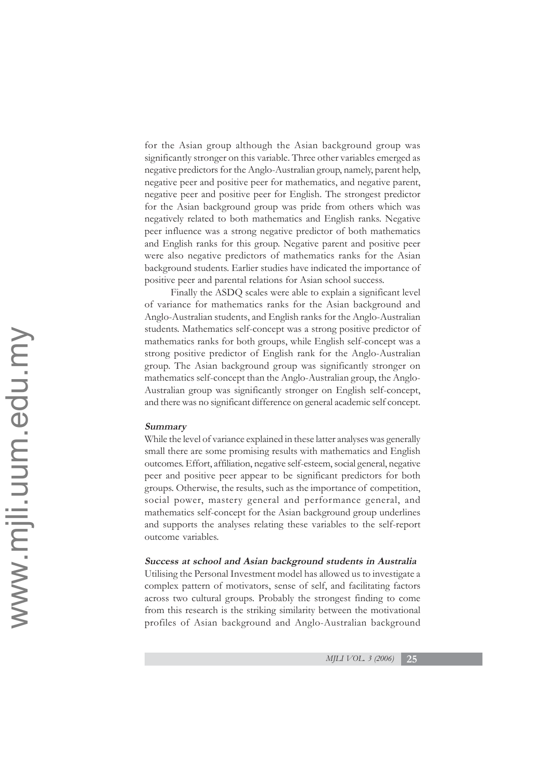for the Asian group although the Asian background group was significantly stronger on this variable. Three other variables emerged as negative predictors for the Anglo-Australian group, namely, parent help, negative peer and positive peer for mathematics, and negative parent, negative peer and positive peer for English. The strongest predictor for the Asian background group was pride from others which was negatively related to both mathematics and English ranks. Negative peer influence was a strong negative predictor of both mathematics and English ranks for this group. Negative parent and positive peer were also negative predictors of mathematics ranks for the Asian background students. Earlier studies have indicated the importance of positive peer and parental relations for Asian school success.

Finally the ASDQ scales were able to explain a significant level of variance for mathematics ranks for the Asian background and Anglo-Australian students, and English ranks for the Anglo-Australian students. Mathematics self-concept was a strong positive predictor of mathematics ranks for both groups, while English self-concept was a strong positive predictor of English rank for the Anglo-Australian group. The Asian background group was significantly stronger on mathematics self-concept than the Anglo-Australian group, the Anglo-Australian group was significantly stronger on English self-concept, and there was no significant difference on general academic self concept.

### **Summary**

While the level of variance explained in these latter analyses was generally small there are some promising results with mathematics and English outcomes. Effort, affiliation, negative self-esteem, social general, negative peer and positive peer appear to be significant predictors for both groups. Otherwise, the results, such as the importance of competition, social power, mastery general and performance general, and mathematics self-concept for the Asian background group underlines and supports the analyses relating these variables to the self-report outcome variables.

### **Success at school and Asian background students in Australia**

Utilising the Personal Investment model has allowed us to investigate a complex pattern of motivators, sense of self, and facilitating factors across two cultural groups. Probably the strongest finding to come from this research is the striking similarity between the motivational profiles of Asian background and Anglo-Australian background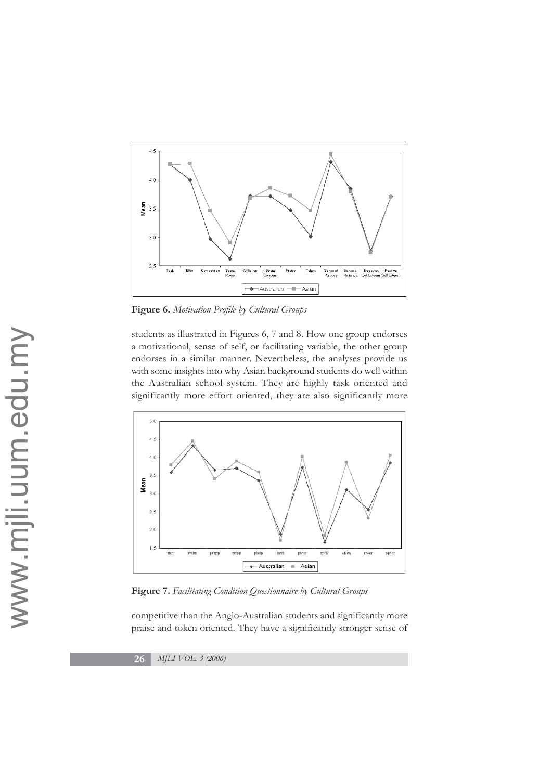

**Figure 6.** *Motivation Profile by Cultural Groups*

students as illustrated in Figures 6, 7 and 8. How one group endorses a motivational, sense of self, or facilitating variable, the other group endorses in a similar manner. Nevertheless, the analyses provide us with some insights into why Asian background students do well within the Australian school system. They are highly task oriented and significantly more effort oriented, they are also significantly more



**Figure 7.** *Facilitating Condition Questionnaire by Cultural Groups*

competitive than the Anglo-Australian students and significantly more praise and token oriented. They have a significantly stronger sense of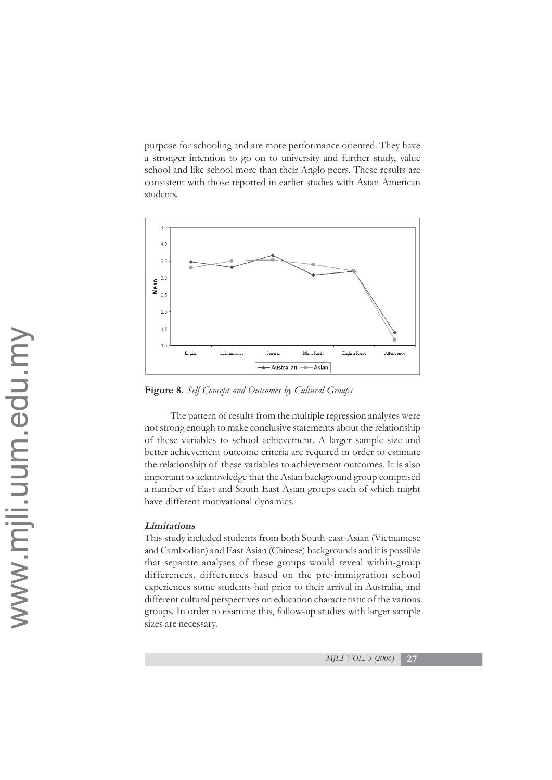purpose for schooling and are more performance oriented. They have a stronger intention to go on to university and further study, value school and like school more than their Anglo peers. These results are consistent with those reported in earlier studies with Asian American students.



**Figure 8.** *Self Concept and Outcomes by Cultural Groups*

The pattern of results from the multiple regression analyses were not strong enough to make conclusive statements about the relationship of these variables to school achievement. A larger sample size and better achievement outcome criteria are required in order to estimate the relationship of these variables to achievement outcomes. It is also important to acknowledge that the Asian background group comprised a number of East and South East Asian groups each of which might have different motivational dynamics.

# **Limitations**

This study included students from both South-east-Asian (Vietnamese and Cambodian) and East Asian (Chinese) backgrounds and it is possible that separate analyses of these groups would reveal within-group differences, differences based on the pre-immigration school experiences some students had prior to their arrival in Australia, and different cultural perspectives on education characteristic of the various groups. In order to examine this, follow-up studies with larger sample sizes are necessary.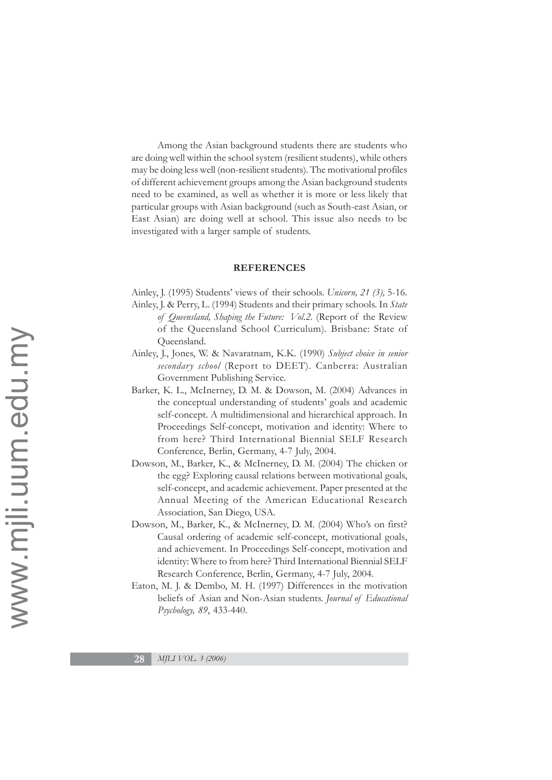Among the Asian background students there are students who are doing well within the school system (resilient students), while others may be doing less well (non-resilient students). The motivational profiles of different achievement groups among the Asian background students need to be examined, as well as whether it is more or less likely that particular groups with Asian background (such as South-east Asian, or East Asian) are doing well at school. This issue also needs to be investigated with a larger sample of students.

#### **REFERENCES**

- Ainley, J. (1995) Students' views of their schools. *Unicorn, 21 (3),* 5-16.
- Ainley, J. & Perry, L. (1994) Students and their primary schools. In *State of Queensland, Shaping the Future: Vol.2.* (Report of the Review of the Queensland School Curriculum). Brisbane: State of Queensland.
- Ainley, J., Jones, W. & Navaratnam, K.K. (1990) *Subject choice in senior secondary school* (Report to DEET). Canberra: Australian Government Publishing Service.
- Barker, K. L., McInerney, D. M. & Dowson, M. (2004) Advances in the conceptual understanding of students' goals and academic self-concept. A multidimensional and hierarchical approach. In Proceedings Self-concept, motivation and identity: Where to from here? Third International Biennial SELF Research Conference, Berlin, Germany, 4-7 July, 2004.
- Dowson, M., Barker, K., & McInerney, D. M. (2004) The chicken or the egg? Exploring causal relations between motivational goals, self-concept, and academic achievement. Paper presented at the Annual Meeting of the American Educational Research Association, San Diego, USA.
- Dowson, M., Barker, K., & McInerney, D. M. (2004) Who's on first? Causal ordering of academic self-concept, motivational goals, and achievement. In Proceedings Self-concept, motivation and identity: Where to from here? Third International Biennial SELF Research Conference, Berlin, Germany, 4-7 July, 2004.
- Eaton, M. J. & Dembo, M. H. (1997) Differences in the motivation beliefs of Asian and Non-Asian students. *Journal of Educational Psychology, 89*, 433-440.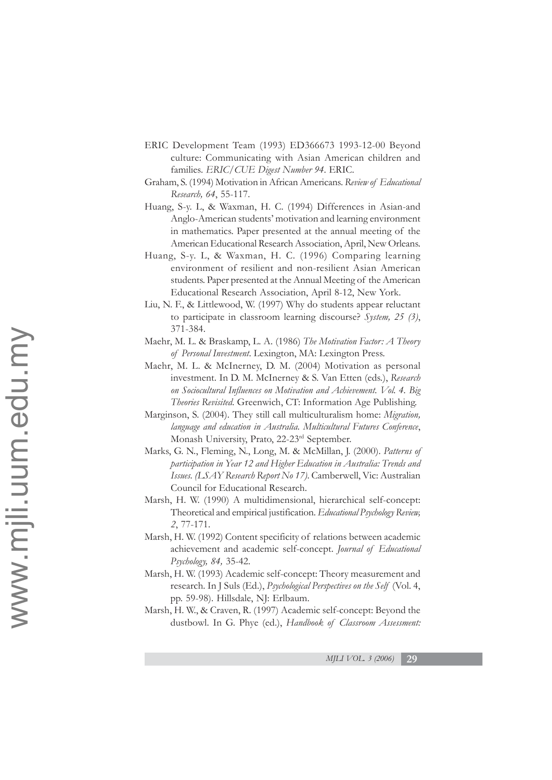- ERIC Development Team (1993) ED366673 1993-12-00 Beyond culture: Communicating with Asian American children and families. *ERIC/CUE Digest Number 94*. ERIC.
- Graham, S. (1994) Motivation in African Americans. *Review of Educational Research, 64*, 55-117.
- Huang, S-y. L, & Waxman, H. C. (1994) Differences in Asian-and Anglo-American students' motivation and learning environment in mathematics. Paper presented at the annual meeting of the American Educational Research Association, April, New Orleans.
- Huang, S-y. L, & Waxman, H. C. (1996) Comparing learning environment of resilient and non-resilient Asian American students. Paper presented at the Annual Meeting of the American Educational Research Association, April 8-12, New York.
- Liu, N. F., & Littlewood, W. (1997) Why do students appear reluctant to participate in classroom learning discourse? *System, 25 (3)*, 371-384.
- Maehr, M. L. & Braskamp, L. A. (1986) *The Motivation Factor: A Theory of Personal Investment*. Lexington, MA: Lexington Press.
- Maehr, M. L. & McInerney, D. M. (2004) Motivation as personal investment. In D. M. McInerney & S. Van Etten (eds.), *Research on Sociocultural Influences on Motivation and Achievement. Vol. 4. Big Theories Revisited.* Greenwich, CT: Information Age Publishing.
- Marginson, S. (2004). They still call multiculturalism home: *Migration, language and education in Australia. Multicultural Futures Conference*, Monash University, Prato, 22-23rd September.
- Marks, G. N., Fleming, N., Long, M. & McMillan, J. (2000). *Patterns of participation in Year 12 and Higher Education in Australia: Trends and Issues. (LSAY Research Report No 17)*. Camberwell, Vic: Australian Council for Educational Research.
- Marsh, H. W. (1990) A multidimensional, hierarchical self-concept: Theoretical and empirical justification. *Educational Psychology Review, 2*, 77-171.
- Marsh, H. W. (1992) Content specificity of relations between academic achievement and academic self-concept. *Journal of Educational Psychology, 84,* 35-42.
- Marsh, H. W. (1993) Academic self-concept: Theory measurement and research. In J Suls (Ed.), *Psychological Perspectives on the Self* (Vol. 4, pp. 59-98). Hillsdale, NJ: Erlbaum.
- Marsh, H. W., & Craven, R. (1997) Academic self-concept: Beyond the dustbowl. In G. Phye (ed.), *Handbook of Classroom Assessment:*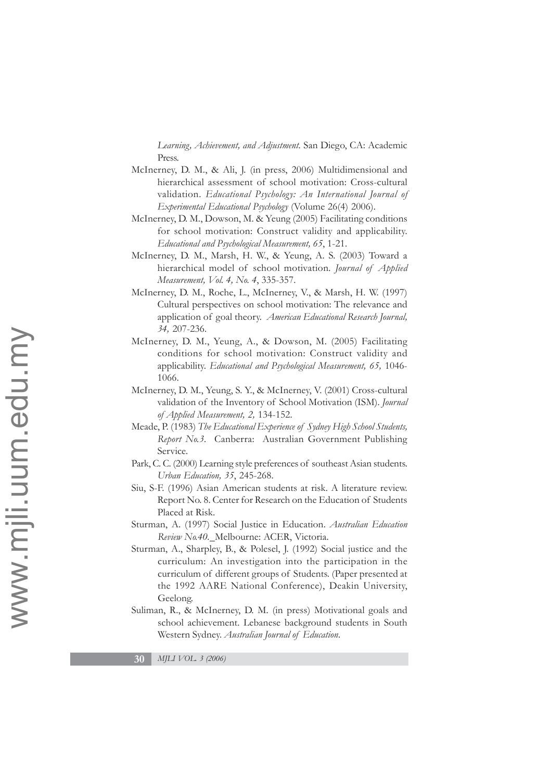*Learning, Achievement, and Adjustment.* San Diego, CA: Academic Press.

- McInerney, D. M., & Ali, J. (in press, 2006) Multidimensional and hierarchical assessment of school motivation: Cross-cultural validation. *Educational Psychology: An International Journal of Experimental Educational Psychology* (Volume 26(4) 2006).
- McInerney, D. M., Dowson, M. & Yeung (2005) Facilitating conditions for school motivation: Construct validity and applicability. *Educational and Psychological Measurement, 65*, 1-21.
- McInerney, D. M., Marsh, H. W., & Yeung, A. S. (2003) Toward a hierarchical model of school motivation*. Journal of Applied Measurement, Vol. 4, No. 4*, 335-357.
- McInerney, D. M., Roche, L., McInerney, V., & Marsh, H. W. (1997) Cultural perspectives on school motivation: The relevance and application of goal theory. *American Educational Research Journal, 34,* 207-236.
- McInerney, D. M., Yeung, A., & Dowson, M. (2005) Facilitating conditions for school motivation: Construct validity and applicability. *Educational and Psychological Measurement, 65,* 1046- 1066.
- McInerney, D. M., Yeung, S. Y., & McInerney, V. (2001) Cross-cultural validation of the Inventory of School Motivation (ISM). *Journal of Applied Measurement, 2,* 134-152.
- Meade, P. (1983) *The Educational Experience of Sydney High School Students, Report No.3.* Canberra: Australian Government Publishing Service.
- Park, C. C. (2000) Learning style preferences of southeast Asian students. *Urban Education, 35*, 245-268.
- Siu, S-F. (1996) Asian American students at risk. A literature review. Report No. 8. Center for Research on the Education of Students Placed at Risk.
- Sturman, A. (1997) Social Justice in Education. *Australian Education Review No.40.* Melbourne: ACER, Victoria.
- Sturman, A., Sharpley, B., & Polesel, J. (1992) Social justice and the curriculum: An investigation into the participation in the curriculum of different groups of Students. (Paper presented at the 1992 AARE National Conference), Deakin University, Geelong.
- Suliman, R., & McInerney, D. M. (in press) Motivational goals and school achievement. Lebanese background students in South Western Sydney. *Australian Journal of Education*.